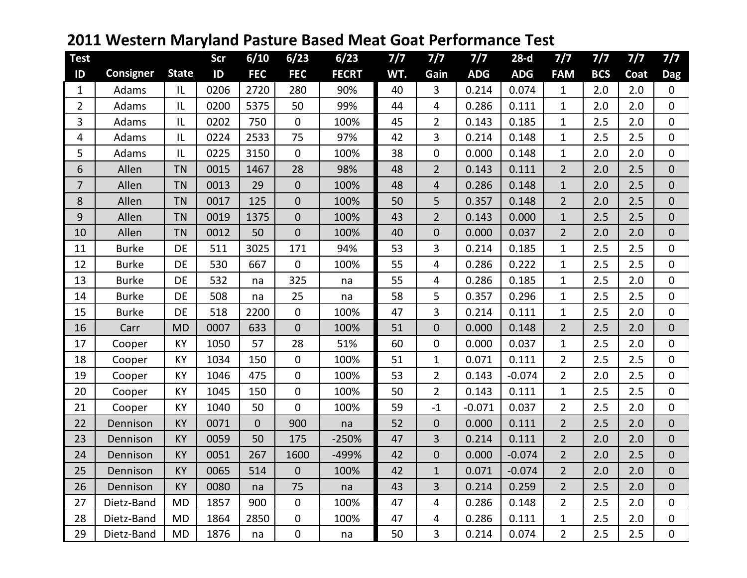| <b>Test</b>    |                  |              | Scr  | 6/10           | 6/23             | 6/23         | 7/7 | 7/7            | 7/7        | $28-d$     | 7/7            | 7/7        | 7/7  | 7/7            |
|----------------|------------------|--------------|------|----------------|------------------|--------------|-----|----------------|------------|------------|----------------|------------|------|----------------|
| ID             | <b>Consigner</b> | <b>State</b> | ID   | <b>FEC</b>     | <b>FEC</b>       | <b>FECRT</b> | WT. | Gain           | <b>ADG</b> | <b>ADG</b> | <b>FAM</b>     | <b>BCS</b> | Coat | <b>Dag</b>     |
| $\mathbf{1}$   | Adams            | L            | 0206 | 2720           | 280              | 90%          | 40  | 3              | 0.214      | 0.074      | $\mathbf{1}$   | 2.0        | 2.0  | $\mathbf{0}$   |
| $\overline{2}$ | Adams            | IL           | 0200 | 5375           | 50               | 99%          | 44  | 4              | 0.286      | 0.111      | $\mathbf{1}$   | 2.0        | 2.0  | $\Omega$       |
| 3              | Adams            | IL           | 0202 | 750            | $\boldsymbol{0}$ | 100%         | 45  | $\overline{2}$ | 0.143      | 0.185      | $\mathbf{1}$   | 2.5        | 2.0  | $\mathbf{0}$   |
| 4              | Adams            | L            | 0224 | 2533           | 75               | 97%          | 42  | 3              | 0.214      | 0.148      | $\mathbf{1}$   | 2.5        | 2.5  | $\mathbf 0$    |
| 5              | Adams            | L            | 0225 | 3150           | $\boldsymbol{0}$ | 100%         | 38  | $\mathbf 0$    | 0.000      | 0.148      | $\mathbf{1}$   | 2.0        | 2.0  | $\mathbf{0}$   |
| 6              | Allen            | <b>TN</b>    | 0015 | 1467           | 28               | 98%          | 48  | $\overline{2}$ | 0.143      | 0.111      | $\overline{2}$ | 2.0        | 2.5  | $\overline{0}$ |
| $\overline{7}$ | Allen            | <b>TN</b>    | 0013 | 29             | $\boldsymbol{0}$ | 100%         | 48  | $\overline{4}$ | 0.286      | 0.148      | $\mathbf{1}$   | 2.0        | 2.5  | $\overline{0}$ |
| 8              | Allen            | <b>TN</b>    | 0017 | 125            | $\boldsymbol{0}$ | 100%         | 50  | 5              | 0.357      | 0.148      | $\overline{2}$ | 2.0        | 2.5  | $\overline{0}$ |
| 9              | Allen            | <b>TN</b>    | 0019 | 1375           | $\overline{0}$   | 100%         | 43  | $\overline{2}$ | 0.143      | 0.000      | $\mathbf{1}$   | 2.5        | 2.5  | $\overline{0}$ |
| 10             | Allen            | <b>TN</b>    | 0012 | 50             | $\overline{0}$   | 100%         | 40  | $\overline{0}$ | 0.000      | 0.037      | $\overline{2}$ | 2.0        | 2.0  | $\overline{0}$ |
| 11             | <b>Burke</b>     | DE           | 511  | 3025           | 171              | 94%          | 53  | 3              | 0.214      | 0.185      | $\mathbf{1}$   | 2.5        | 2.5  | $\mathbf 0$    |
| 12             | <b>Burke</b>     | DE           | 530  | 667            | $\mathbf 0$      | 100%         | 55  | 4              | 0.286      | 0.222      | $\mathbf{1}$   | 2.5        | 2.5  | $\mathbf{0}$   |
| 13             | <b>Burke</b>     | DE           | 532  | na             | 325              | na           | 55  | 4              | 0.286      | 0.185      | $\mathbf{1}$   | 2.5        | 2.0  | $\mathbf{0}$   |
| 14             | <b>Burke</b>     | <b>DE</b>    | 508  | na             | 25               | na           | 58  | 5              | 0.357      | 0.296      | $\mathbf{1}$   | 2.5        | 2.5  | $\mathbf{0}$   |
| 15             | <b>Burke</b>     | DE           | 518  | 2200           | $\boldsymbol{0}$ | 100%         | 47  | 3              | 0.214      | 0.111      | $\mathbf{1}$   | 2.5        | 2.0  | $\mathbf 0$    |
| 16             | Carr             | <b>MD</b>    | 0007 | 633            | $\boldsymbol{0}$ | 100%         | 51  | $\mathbf 0$    | 0.000      | 0.148      | $\overline{2}$ | 2.5        | 2.0  | $\mathbf 0$    |
| 17             | Cooper           | KY           | 1050 | 57             | 28               | 51%          | 60  | $\mathbf 0$    | 0.000      | 0.037      | $\mathbf{1}$   | 2.5        | 2.0  | $\mathbf{0}$   |
| 18             | Cooper           | KY           | 1034 | 150            | $\mathbf 0$      | 100%         | 51  | $\mathbf{1}$   | 0.071      | 0.111      | $\overline{2}$ | 2.5        | 2.5  | $\mathbf{0}$   |
| 19             | Cooper           | KY           | 1046 | 475            | $\overline{0}$   | 100%         | 53  | $\overline{2}$ | 0.143      | $-0.074$   | $\overline{2}$ | 2.0        | 2.5  | $\Omega$       |
| 20             | Cooper           | KY           | 1045 | 150            | $\boldsymbol{0}$ | 100%         | 50  | $\overline{2}$ | 0.143      | 0.111      | $\mathbf{1}$   | 2.5        | 2.5  | $\mathbf 0$    |
| 21             | Cooper           | KY           | 1040 | 50             | $\mathbf 0$      | 100%         | 59  | $-1$           | $-0.071$   | 0.037      | $\overline{2}$ | 2.5        | 2.0  | $\mathbf 0$    |
| 22             | Dennison         | KY           | 0071 | $\overline{0}$ | 900              | na           | 52  | $\mathbf 0$    | 0.000      | 0.111      | $\overline{2}$ | 2.5        | 2.0  | $\mathbf{0}$   |
| 23             | Dennison         | KY           | 0059 | 50             | 175              | $-250%$      | 47  | 3              | 0.214      | 0.111      | $\overline{2}$ | 2.0        | 2.0  | $\mathbf{0}$   |
| 24             | Dennison         | KY           | 0051 | 267            | 1600             | -499%        | 42  | $\overline{0}$ | 0.000      | $-0.074$   | $\overline{2}$ | 2.0        | 2.5  | $\overline{0}$ |
| 25             | Dennison         | KY           | 0065 | 514            | $\mathbf 0$      | 100%         | 42  | $\mathbf{1}$   | 0.071      | $-0.074$   | $\overline{2}$ | 2.0        | 2.0  | $\overline{0}$ |
| 26             | Dennison         | KY           | 0080 | na             | 75               | na           | 43  | 3              | 0.214      | 0.259      | $\overline{2}$ | 2.5        | 2.0  | $\mathbf{0}$   |
| 27             | Dietz-Band       | <b>MD</b>    | 1857 | 900            | $\boldsymbol{0}$ | 100%         | 47  | 4              | 0.286      | 0.148      | $\overline{2}$ | 2.5        | 2.0  | $\mathbf 0$    |
| 28             | Dietz-Band       | <b>MD</b>    | 1864 | 2850           | $\boldsymbol{0}$ | 100%         | 47  | 4              | 0.286      | 0.111      | $\mathbf{1}$   | 2.5        | 2.0  | $\mathbf 0$    |
| 29             | Dietz-Band       | <b>MD</b>    | 1876 | na             | $\boldsymbol{0}$ | na           | 50  | 3              | 0.214      | 0.074      | $\overline{2}$ | 2.5        | 2.5  | $\mathbf 0$    |

## **2011 Western Maryland Pasture Based Meat Goat Performance Test**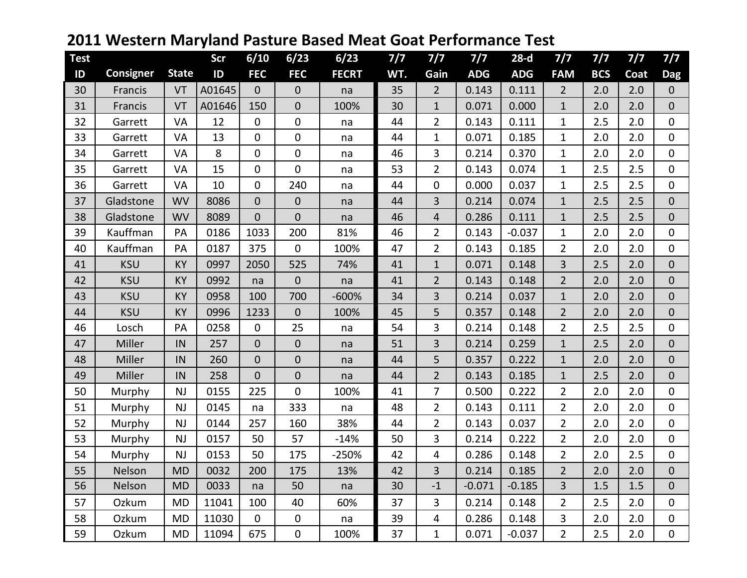| <b>Test</b> |                  |              | <b>Scr</b> | 6/10           | 6/23             | 6/23         | 7/7 | 7/7            | 7/7        | $28-d$     | $7/7$          | 7/7        | 7/7  | 7/7            |
|-------------|------------------|--------------|------------|----------------|------------------|--------------|-----|----------------|------------|------------|----------------|------------|------|----------------|
| ID          | <b>Consigner</b> | <b>State</b> | ID         | <b>FEC</b>     | <b>FEC</b>       | <b>FECRT</b> | WT. | Gain           | <b>ADG</b> | <b>ADG</b> | <b>FAM</b>     | <b>BCS</b> | Coat | <b>Dag</b>     |
| 30          | Francis          | VT           | A01645     | $\overline{0}$ | $\boldsymbol{0}$ | na           | 35  | $\overline{2}$ | 0.143      | 0.111      | $\overline{2}$ | 2.0        | 2.0  | $\mathbf{0}$   |
| 31          | Francis          | VT           | A01646     | 150            | $\overline{0}$   | 100%         | 30  | $\mathbf{1}$   | 0.071      | 0.000      | $\mathbf{1}$   | 2.0        | 2.0  | $\overline{0}$ |
| 32          | Garrett          | VA           | 12         | 0              | $\mathbf 0$      | na           | 44  | $\overline{2}$ | 0.143      | 0.111      | $\mathbf{1}$   | 2.5        | 2.0  | 0              |
| 33          | Garrett          | VA           | 13         | 0              | $\mathbf 0$      | na           | 44  | $\mathbf{1}$   | 0.071      | 0.185      | $\mathbf{1}$   | 2.0        | 2.0  | $\mathbf{0}$   |
| 34          | Garrett          | VA           | 8          | 0              | $\mathbf 0$      | na           | 46  | 3              | 0.214      | 0.370      | $\mathbf{1}$   | 2.0        | 2.0  | $\mathbf 0$    |
| 35          | Garrett          | VA           | 15         | 0              | $\overline{0}$   | na           | 53  | $\overline{2}$ | 0.143      | 0.074      | $\mathbf{1}$   | 2.5        | 2.5  | $\mathbf 0$    |
| 36          | Garrett          | VA           | 10         | 0              | 240              | na           | 44  | $\mathbf 0$    | 0.000      | 0.037      | $\mathbf{1}$   | 2.5        | 2.5  | $\mathbf{0}$   |
| 37          | Gladstone        | <b>WV</b>    | 8086       | $\overline{0}$ | $\mathbf{0}$     | na           | 44  | 3              | 0.214      | 0.074      | $\mathbf{1}$   | 2.5        | 2.5  | $\overline{0}$ |
| 38          | Gladstone        | <b>WV</b>    | 8089       | $\overline{0}$ | $\overline{0}$   | na           | 46  | $\overline{4}$ | 0.286      | 0.111      | $\mathbf{1}$   | 2.5        | 2.5  | $\mathbf{0}$   |
| 39          | Kauffman         | PA           | 0186       | 1033           | 200              | 81%          | 46  | $\overline{2}$ | 0.143      | $-0.037$   | 1              | 2.0        | 2.0  | $\mathbf 0$    |
| 40          | Kauffman         | PA           | 0187       | 375            | $\mathbf 0$      | 100%         | 47  | $\overline{2}$ | 0.143      | 0.185      | $\overline{2}$ | 2.0        | 2.0  | $\mathbf 0$    |
| 41          | <b>KSU</b>       | <b>KY</b>    | 0997       | 2050           | 525              | 74%          | 41  | $\mathbf{1}$   | 0.071      | 0.148      | 3              | 2.5        | 2.0  | $\overline{0}$ |
| 42          | <b>KSU</b>       | KY           | 0992       | na             | $\mathbf{0}$     | na           | 41  | $\overline{2}$ | 0.143      | 0.148      | $\overline{2}$ | 2.0        | 2.0  | $\Omega$       |
| 43          | <b>KSU</b>       | KY           | 0958       | 100            | 700              | $-600%$      | 34  | 3              | 0.214      | 0.037      | $\mathbf{1}$   | 2.0        | 2.0  | $\mathbf{0}$   |
| 44          | <b>KSU</b>       | <b>KY</b>    | 0996       | 1233           | $\mathbf 0$      | 100%         | 45  | 5              | 0.357      | 0.148      | $\overline{2}$ | 2.0        | 2.0  | $\overline{0}$ |
| 46          | Losch            | PA           | 0258       | 0              | 25               | na           | 54  | 3              | 0.214      | 0.148      | $\overline{2}$ | 2.5        | 2.5  | $\Omega$       |
| 47          | Miller           | IN           | 257        | $\overline{0}$ | $\mathbf 0$      | na           | 51  | 3              | 0.214      | 0.259      | $\mathbf{1}$   | 2.5        | 2.0  | $\overline{0}$ |
| 48          | Miller           | IN           | 260        | $\overline{0}$ | $\mathbf 0$      | na           | 44  | 5              | 0.357      | 0.222      | $\mathbf{1}$   | 2.0        | 2.0  | $\overline{0}$ |
| 49          | Miller           | IN           | 258        | $\overline{0}$ | $\overline{0}$   | na           | 44  | $\overline{2}$ | 0.143      | 0.185      | $\mathbf{1}$   | 2.5        | 2.0  | $\Omega$       |
| 50          | Murphy           | NJ           | 0155       | 225            | $\mathbf 0$      | 100%         | 41  | 7              | 0.500      | 0.222      | $\overline{2}$ | 2.0        | 2.0  | $\mathbf 0$    |
| 51          | Murphy           | NJ           | 0145       | na             | 333              | na           | 48  | $\overline{2}$ | 0.143      | 0.111      | $\overline{2}$ | 2.0        | 2.0  | $\mathbf{0}$   |
| 52          | Murphy           | NJ           | 0144       | 257            | 160              | 38%          | 44  | $\overline{2}$ | 0.143      | 0.037      | $\overline{2}$ | 2.0        | 2.0  | $\mathbf 0$    |
| 53          | Murphy           | NJ           | 0157       | 50             | 57               | $-14%$       | 50  | 3              | 0.214      | 0.222      | $\overline{2}$ | 2.0        | 2.0  | $\mathbf{0}$   |
| 54          | Murphy           | NJ           | 0153       | 50             | 175              | $-250%$      | 42  | 4              | 0.286      | 0.148      | $\overline{2}$ | 2.0        | 2.5  | $\mathbf 0$    |
| 55          | Nelson           | <b>MD</b>    | 0032       | 200            | 175              | 13%          | 42  | 3              | 0.214      | 0.185      | $\overline{2}$ | 2.0        | 2.0  | $\overline{0}$ |
| 56          | Nelson           | <b>MD</b>    | 0033       | na             | 50               | na           | 30  | $-1$           | $-0.071$   | $-0.185$   | $\overline{3}$ | 1.5        | 1.5  | $\mathbf{0}$   |
| 57          | Ozkum            | <b>MD</b>    | 11041      | 100            | 40               | 60%          | 37  | 3              | 0.214      | 0.148      | $\overline{2}$ | 2.5        | 2.0  | $\mathbf 0$    |
| 58          | Ozkum            | <b>MD</b>    | 11030      | 0              | $\mathbf 0$      | na           | 39  | 4              | 0.286      | 0.148      | 3              | 2.0        | 2.0  | 0              |
| 59          | Ozkum            | <b>MD</b>    | 11094      | 675            | $\mathbf 0$      | 100%         | 37  | $\mathbf{1}$   | 0.071      | $-0.037$   | $\overline{2}$ | 2.5        | 2.0  | $\overline{0}$ |

## **2011 Western Maryland Pasture Based Meat Goat Performance Test**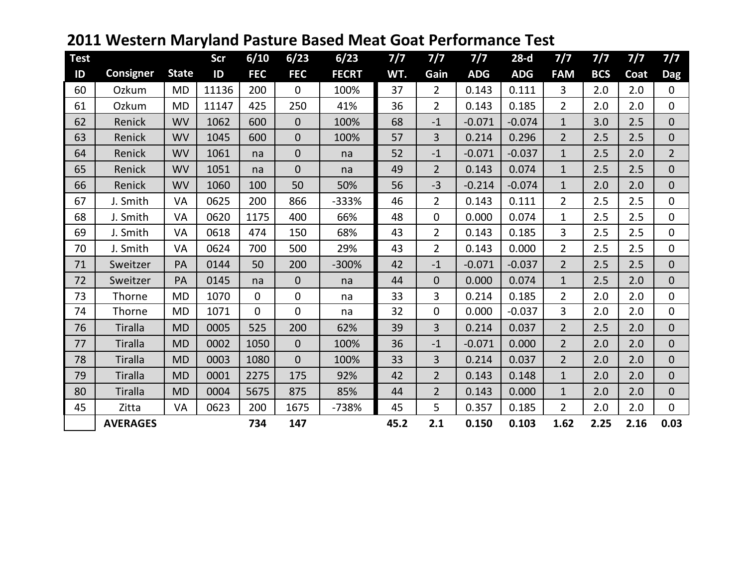| <b>Test</b> |                  |              | Scr   | 6/10         | 6/23           | 6/23         | 7/7  | 7/7            | 7/7        | $28-d$     | 7/7              | 7/7        | 7/7  | 7/7            |
|-------------|------------------|--------------|-------|--------------|----------------|--------------|------|----------------|------------|------------|------------------|------------|------|----------------|
| ID          | <b>Consigner</b> | <b>State</b> | ID    | <b>FEC</b>   | <b>FEC</b>     | <b>FECRT</b> | WT.  | Gain           | <b>ADG</b> | <b>ADG</b> | <b>FAM</b>       | <b>BCS</b> | Coat | <b>Dag</b>     |
| 60          | Ozkum            | <b>MD</b>    | 11136 | 200          | $\mathbf 0$    | 100%         | 37   | $\overline{2}$ | 0.143      | 0.111      | 3                | 2.0        | 2.0  | $\overline{0}$ |
| 61          | Ozkum            | <b>MD</b>    | 11147 | 425          | 250            | 41%          | 36   | $\overline{2}$ | 0.143      | 0.185      | $\overline{2}$   | 2.0        | 2.0  | $\mathbf{0}$   |
| 62          | Renick           | <b>WV</b>    | 1062  | 600          | $\overline{0}$ | 100%         | 68   | $-1$           | $-0.071$   | $-0.074$   | $\mathbf{1}$     | 3.0        | 2.5  | $\mathbf 0$    |
| 63          | Renick           | <b>WV</b>    | 1045  | 600          | $\overline{0}$ | 100%         | 57   | 3              | 0.214      | 0.296      | $2^{\circ}$      | 2.5        | 2.5  | $\overline{0}$ |
| 64          | Renick           | <b>WV</b>    | 1061  | na           | $\overline{0}$ | na           | 52   | $-1$           | $-0.071$   | $-0.037$   | $\mathbf{1}$     | 2.5        | 2.0  | $2^{\circ}$    |
| 65          | Renick           | <b>WV</b>    | 1051  | na           | $\mathbf{0}$   | na           | 49   | $\overline{2}$ | 0.143      | 0.074      | $\mathbf{1}$     | 2.5        | 2.5  | $\Omega$       |
| 66          | Renick           | <b>WV</b>    | 1060  | 100          | 50             | 50%          | 56   | $-3$           | $-0.214$   | $-0.074$   | $\mathbf{1}$     | 2.0        | 2.0  | $\overline{0}$ |
| 67          | J. Smith         | VA           | 0625  | 200          | 866            | $-333%$      | 46   | $\overline{2}$ | 0.143      | 0.111      | $\overline{2}$   | 2.5        | 2.5  | $\mathbf 0$    |
| 68          | J. Smith         | VA           | 0620  | 1175         | 400            | 66%          | 48   | 0              | 0.000      | 0.074      | $\mathbf{1}$     | 2.5        | 2.5  | $\mathbf{0}$   |
| 69          | J. Smith         | VA           | 0618  | 474          | 150            | 68%          | 43   | $\overline{2}$ | 0.143      | 0.185      | $\overline{3}$   | 2.5        | 2.5  | $\mathbf{0}$   |
| 70          | J. Smith         | VA           | 0624  | 700          | 500            | 29%          | 43   | $\overline{2}$ | 0.143      | 0.000      | $\overline{2}$   | 2.5        | 2.5  | $\mathbf{0}$   |
| 71          | Sweitzer         | PA           | 0144  | 50           | 200            | $-300%$      | 42   | $-1$           | $-0.071$   | $-0.037$   | $2 \overline{ }$ | 2.5        | 2.5  | $\Omega$       |
| 72          | Sweitzer         | PA           | 0145  | na           | $\overline{0}$ | na           | 44   | $\Omega$       | 0.000      | 0.074      | $\mathbf{1}$     | 2.5        | 2.0  | $\overline{0}$ |
| 73          | Thorne           | <b>MD</b>    | 1070  | $\mathbf{0}$ | $\mathbf 0$    | na           | 33   | 3              | 0.214      | 0.185      | $\overline{2}$   | 2.0        | 2.0  | $\mathbf{0}$   |
| 74          | Thorne           | <b>MD</b>    | 1071  | $\mathbf{0}$ | $\mathbf 0$    | na           | 32   | 0              | 0.000      | $-0.037$   | 3                | 2.0        | 2.0  | $\mathbf{0}$   |
| 76          | <b>Tiralla</b>   | <b>MD</b>    | 0005  | 525          | 200            | 62%          | 39   | $\overline{3}$ | 0.214      | 0.037      | $\overline{2}$   | 2.5        | 2.0  | $\overline{0}$ |
| 77          | <b>Tiralla</b>   | <b>MD</b>    | 0002  | 1050         | $\mathbf 0$    | 100%         | 36   | $-1$           | $-0.071$   | 0.000      | $\overline{2}$   | 2.0        | 2.0  | $\overline{0}$ |
| 78          | Tiralla          | <b>MD</b>    | 0003  | 1080         | $\overline{0}$ | 100%         | 33   | $\overline{3}$ | 0.214      | 0.037      | $\overline{2}$   | 2.0        | 2.0  | $\Omega$       |
| 79          | Tiralla          | <b>MD</b>    | 0001  | 2275         | 175            | 92%          | 42   | $\overline{2}$ | 0.143      | 0.148      | $\mathbf{1}$     | 2.0        | 2.0  | $\Omega$       |
| 80          | <b>Tiralla</b>   | <b>MD</b>    | 0004  | 5675         | 875            | 85%          | 44   | $\overline{2}$ | 0.143      | 0.000      | $\mathbf{1}$     | 2.0        | 2.0  | $\mathbf 0$    |
| 45          | Zitta            | VA           | 0623  | 200          | 1675           | -738%        | 45   | 5              | 0.357      | 0.185      | $\overline{2}$   | 2.0        | 2.0  | $\mathbf{0}$   |
|             | <b>AVERAGES</b>  |              |       | 734          | 147            |              | 45.2 | 2.1            | 0.150      | 0.103      | 1.62             | 2.25       | 2.16 | 0.03           |

**2011 Western Maryland Pasture Based Meat Goat Performance Test**